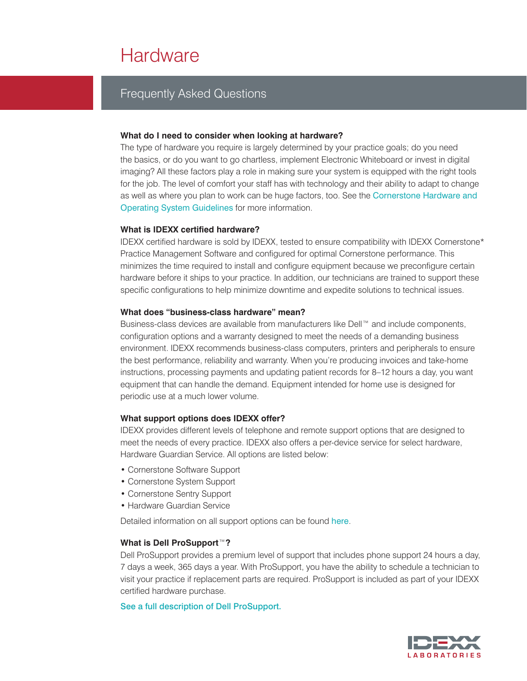# **Hardware**

# Frequently Asked Questions

#### **What do I need to consider when looking at hardware?**

The type of hardware you require is largely determined by your practice goals; do you need the basics, or do you want to go chartless, implement Electronic Whiteboard or invest in digital imaging? All these factors play a role in making sure your system is equipped with the right tools for the job. The level of comfort your staff has with technology and their ability to adapt to change as well as where you plan to work can be huge factors, too. See the [Cornerstone Hardware and](https://www.idexx.com/resource-library/smallanimal/cornerstone-hardware-guidelines-en.pdf)  [Operating System Guidelines](https://www.idexx.com/resource-library/smallanimal/cornerstone-hardware-guidelines-en.pdf) for more information.

#### **What is IDEXX certified hardware?**

IDEXX certified hardware is sold by IDEXX, tested to ensure compatibility with IDEXX Cornerstone\* Practice Management Software and configured for optimal Cornerstone performance. This minimizes the time required to install and configure equipment because we preconfigure certain hardware before it ships to your practice. In addition, our technicians are trained to support these specific configurations to help minimize downtime and expedite solutions to technical issues.

## **What does "business-class hardware" mean?**

Business-class devices are available from manufacturers like Dell™ and include components, configuration options and a warranty designed to meet the needs of a demanding business environment. IDEXX recommends business-class computers, printers and peripherals to ensure the best performance, reliability and warranty. When you're producing invoices and take-home instructions, processing payments and updating patient records for 8–12 hours a day, you want equipment that can handle the demand. Equipment intended for home use is designed for periodic use at a much lower volume.

#### **What support options does IDEXX offer?**

IDEXX provides different levels of telephone and remote support options that are designed to meet the needs of every practice. IDEXX also offers a per-device service for select hardware, Hardware Guardian Service. All options are listed below:

- Cornerstone Software Support
- Cornerstone System Support
- Cornerstone Sentry Support
- Hardware Guardian Service

Detailed information on all support options can be found [here](http://community.idexx.com/cornerstone/support/).

# **What is Dell ProSupport**™**?**

Dell ProSupport provides a premium level of support that includes phone support 24 hours a day, 7 days a week, 365 days a year. With ProSupport, you have the ability to schedule a technician to visit your practice if replacement parts are required. ProSupport is included as part of your IDEXX certified hardware purchase.

#### [See a full description of Dell ProSupport.](http://www.dell.com/downloads/global/services/Global_English_ProSupport_Service_Description_rev_6.pdf?c=us&cs=04&l=en&s=bsd)